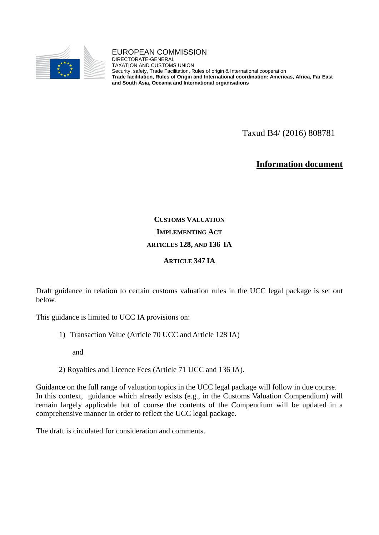

#### EUROPEAN COMMISSION

DIRECTORATE-GENERAL TAXATION AND CUSTOMS UNION Security, safety, Trade Facilitation, Rules of origin & International cooperation **Trade facilitation, Rules of Origin and International coordination: Americas, Africa, Far East and South Asia, Oceania and International organisations**

Taxud B4/ (2016) 808781

**Information document**

# **CUSTOMS VALUATION IMPLEMENTING ACT ARTICLES 128, AND 136 IA**

#### **ARTICLE 347 IA**

Draft guidance in relation to certain customs valuation rules in the UCC legal package is set out below.

This guidance is limited to UCC IA provisions on:

1) Transaction Value (Article 70 UCC and Article 128 IA)

and

2) Royalties and Licence Fees (Article 71 UCC and 136 IA).

Guidance on the full range of valuation topics in the UCC legal package will follow in due course. In this context, guidance which already exists (e.g., in the Customs Valuation Compendium) will remain largely applicable but of course the contents of the Compendium will be updated in a comprehensive manner in order to reflect the UCC legal package.

The draft is circulated for consideration and comments.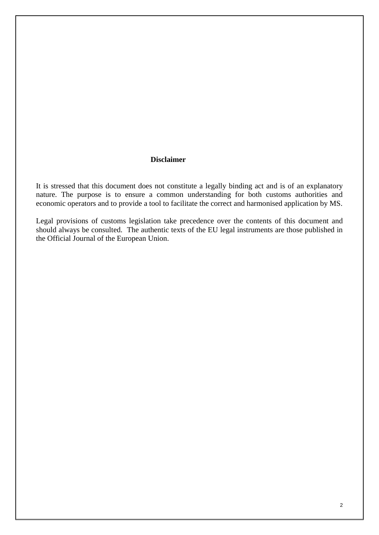#### **Disclaimer**

It is stressed that this document does not constitute a legally binding act and is of an explanatory nature. The purpose is to ensure a common understanding for both customs authorities and economic operators and to provide a tool to facilitate the correct and harmonised application by MS.

Legal provisions of customs legislation take precedence over the contents of this document and should always be consulted. The authentic texts of the EU legal instruments are those published in the Official Journal of the European Union.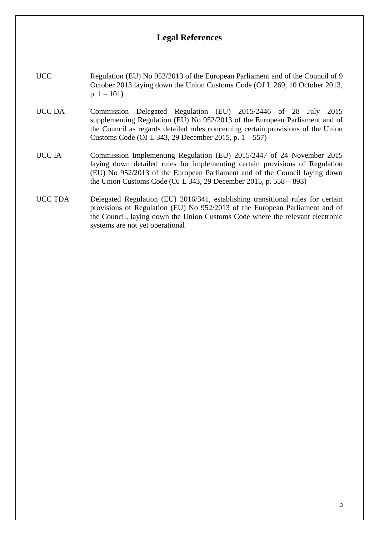### **Legal References**

- UCC Regulation (EU) No 952/2013 of the European Parliament and of the Council of 9 October 2013 laying down the Union Customs Code (OJ L 269, 10 October 2013, p.  $1 - 101$ )
- UCC DA Commission Delegated Regulation (EU) 2015/2446 of 28 July 2015 supplementing Regulation (EU) No 952/2013 of the European Parliament and of the Council as regards detailed rules concerning certain provisions of the Union Customs Code (OJ L 343, 29 December 2015, p. 1 – 557)
- UCC IA Commission Implementing Regulation (EU) 2015/2447 of 24 November 2015 laying down detailed rules for implementing certain provisions of Regulation (EU) No 952/2013 of the European Parliament and of the Council laying down the Union Customs Code (OJ L 343, 29 December 2015, p. 558 – 893)
- UCC TDA Delegated Regulation (EU) 2016/341, establishing transitional rules for certain provisions of Regulation (EU) No 952/2013 of the European Parliament and of the Council, laying down the Union Customs Code where the relevant electronic systems are not yet operational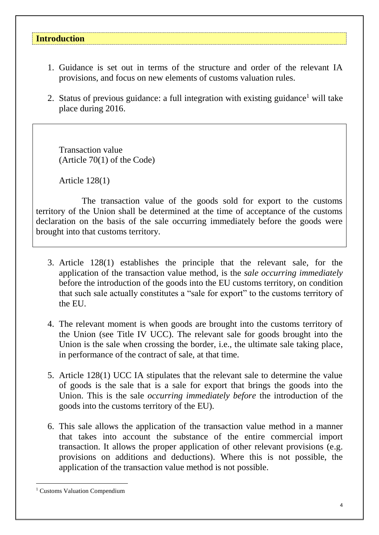#### **Introduction**

- 1. Guidance is set out in terms of the structure and order of the relevant IA provisions, and focus on new elements of customs valuation rules.
- 2. Status of previous guidance: a full integration with existing guidance<sup>1</sup> will take place during 2016.

Transaction value (Article 70(1) of the Code)

Article 128(1)

The transaction value of the goods sold for export to the customs territory of the Union shall be determined at the time of acceptance of the customs declaration on the basis of the sale occurring immediately before the goods were brought into that customs territory.

- 3. Article 128(1) establishes the principle that the relevant sale, for the application of the transaction value method, is the *sale occurring immediately* before the introduction of the goods into the EU customs territory, on condition that such sale actually constitutes a "sale for export" to the customs territory of the EU.
- 4. The relevant moment is when goods are brought into the customs territory of the Union (see Title IV UCC). The relevant sale for goods brought into the Union is the sale when crossing the border, i.e., the ultimate sale taking place, in performance of the contract of sale, at that time.
- 5. Article 128(1) UCC IA stipulates that the relevant sale to determine the value of goods is the sale that is a sale for export that brings the goods into the Union. This is the sale *occurring immediately before* the introduction of the goods into the customs territory of the EU).
- 6. This sale allows the application of the transaction value method in a manner that takes into account the substance of the entire commercial import transaction. It allows the proper application of other relevant provisions (e.g. provisions on additions and deductions). Where this is not possible, the application of the transaction value method is not possible.

1

<sup>1</sup> Customs Valuation Compendium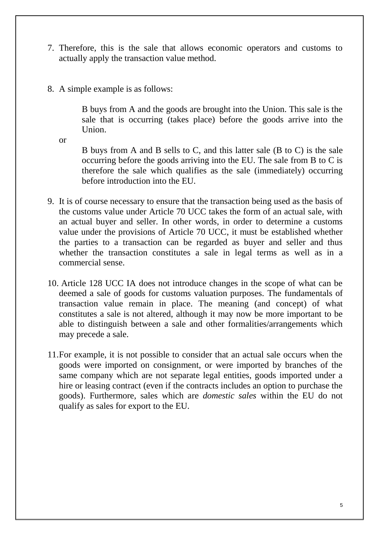- 7. Therefore, this is the sale that allows economic operators and customs to actually apply the transaction value method.
- 8. A simple example is as follows:

B buys from A and the goods are brought into the Union. This sale is the sale that is occurring (takes place) before the goods arrive into the **Union** 

or

B buys from A and B sells to C, and this latter sale (B to C) is the sale occurring before the goods arriving into the EU. The sale from B to C is therefore the sale which qualifies as the sale (immediately) occurring before introduction into the EU.

- 9. It is of course necessary to ensure that the transaction being used as the basis of the customs value under Article 70 UCC takes the form of an actual sale, with an actual buyer and seller. In other words, in order to determine a customs value under the provisions of Article 70 UCC, it must be established whether the parties to a transaction can be regarded as buyer and seller and thus whether the transaction constitutes a sale in legal terms as well as in a commercial sense.
- 10. Article 128 UCC IA does not introduce changes in the scope of what can be deemed a sale of goods for customs valuation purposes. The fundamentals of transaction value remain in place. The meaning (and concept) of what constitutes a sale is not altered, although it may now be more important to be able to distinguish between a sale and other formalities/arrangements which may precede a sale.
- 11.For example, it is not possible to consider that an actual sale occurs when the goods were imported on consignment, or were imported by branches of the same company which are not separate legal entities, goods imported under a hire or leasing contract (even if the contracts includes an option to purchase the goods). Furthermore, sales which are *domestic sales* within the EU do not qualify as sales for export to the EU.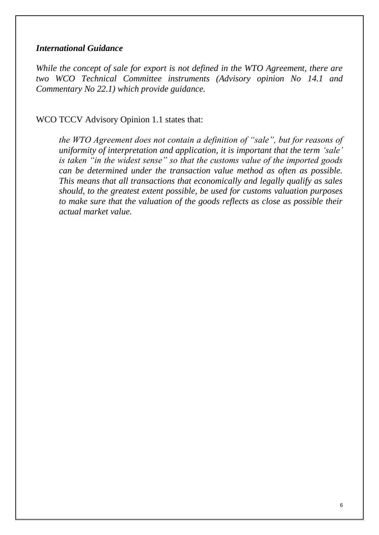#### *International Guidance*

*While the concept of sale for export is not defined in the WTO Agreement, there are two WCO Technical Committee instruments (Advisory opinion No 14.1 and Commentary No 22.1) which provide guidance.* 

WCO TCCV Advisory Opinion 1.1 states that:

*the WTO Agreement does not contain a definition of "sale", but for reasons of uniformity of interpretation and application, it is important that the term 'sale' is taken "in the widest sense" so that the customs value of the imported goods can be determined under the transaction value method as often as possible. This means that all transactions that economically and legally qualify as sales should, to the greatest extent possible, be used for customs valuation purposes to make sure that the valuation of the goods reflects as close as possible their actual market value.*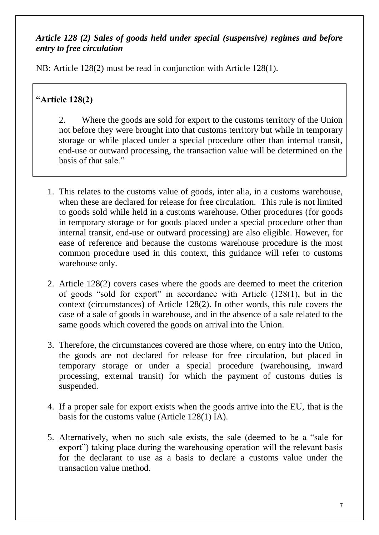# *Article 128 (2) Sales of goods held under special (suspensive) regimes and before entry to free circulation*

NB: Article 128(2) must be read in conjunction with Article 128(1).

# **"Article 128(2)**

2. Where the goods are sold for export to the customs territory of the Union not before they were brought into that customs territory but while in temporary storage or while placed under a special procedure other than internal transit, end-use or outward processing, the transaction value will be determined on the basis of that sale."

- 1. This relates to the customs value of goods, inter alia, in a customs warehouse, when these are declared for release for free circulation. This rule is not limited to goods sold while held in a customs warehouse. Other procedures (for goods in temporary storage or for goods placed under a special procedure other than internal transit, end-use or outward processing) are also eligible. However, for ease of reference and because the customs warehouse procedure is the most common procedure used in this context, this guidance will refer to customs warehouse only.
- 2. Article 128(2) covers cases where the goods are deemed to meet the criterion of goods "sold for export" in accordance with Article (128(1), but in the context (circumstances) of Article 128(2). In other words, this rule covers the case of a sale of goods in warehouse, and in the absence of a sale related to the same goods which covered the goods on arrival into the Union.
- 3. Therefore, the circumstances covered are those where, on entry into the Union, the goods are not declared for release for free circulation, but placed in temporary storage or under a special procedure (warehousing, inward processing, external transit) for which the payment of customs duties is suspended.
- 4. If a proper sale for export exists when the goods arrive into the EU, that is the basis for the customs value (Article 128(1) IA).
- 5. Alternatively, when no such sale exists, the sale (deemed to be a "sale for export") taking place during the warehousing operation will the relevant basis for the declarant to use as a basis to declare a customs value under the transaction value method.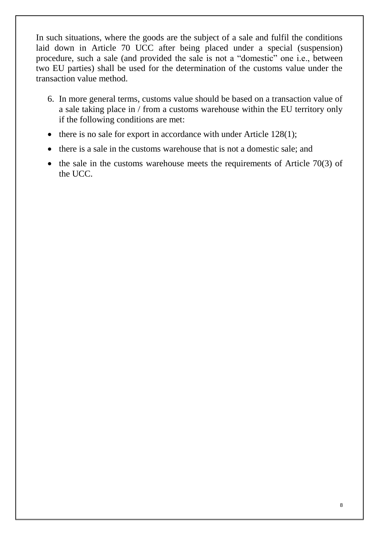In such situations, where the goods are the subject of a sale and fulfil the conditions laid down in Article 70 UCC after being placed under a special (suspension) procedure, such a sale (and provided the sale is not a "domestic" one i.e., between two EU parties) shall be used for the determination of the customs value under the transaction value method.

- 6. In more general terms, customs value should be based on a transaction value of a sale taking place in / from a customs warehouse within the EU territory only if the following conditions are met:
- $\bullet$  there is no sale for export in accordance with under Article 128(1);
- there is a sale in the customs warehouse that is not a domestic sale; and
- $\bullet$  the sale in the customs warehouse meets the requirements of Article 70(3) of the UCC.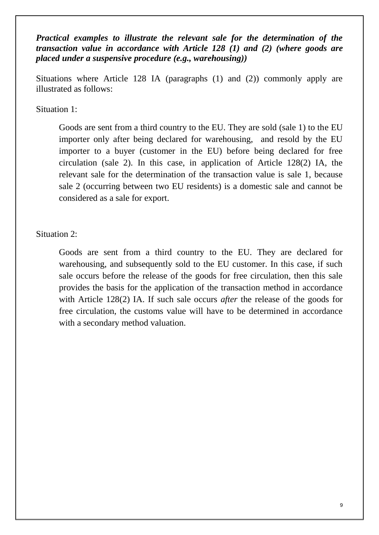*Practical examples to illustrate the relevant sale for the determination of the transaction value in accordance with Article 128 (1) and (2) (where goods are placed under a suspensive procedure (e.g., warehousing))* 

Situations where Article 128 IA (paragraphs (1) and (2)) commonly apply are illustrated as follows:

Situation 1:

Goods are sent from a third country to the EU. They are sold (sale 1) to the EU importer only after being declared for warehousing, and resold by the EU importer to a buyer (customer in the EU) before being declared for free circulation (sale 2). In this case, in application of Article 128(2) IA, the relevant sale for the determination of the transaction value is sale 1, because sale 2 (occurring between two EU residents) is a domestic sale and cannot be considered as a sale for export.

Situation 2:

Goods are sent from a third country to the EU. They are declared for warehousing, and subsequently sold to the EU customer. In this case, if such sale occurs before the release of the goods for free circulation, then this sale provides the basis for the application of the transaction method in accordance with Article 128(2) IA. If such sale occurs *after* the release of the goods for free circulation, the customs value will have to be determined in accordance with a secondary method valuation.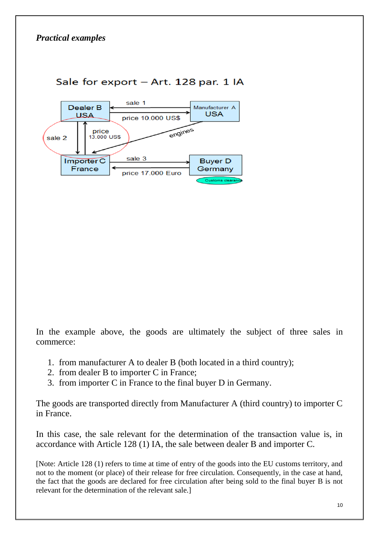

# Sale for export - Art. 128 par. 1 IA

In the example above, the goods are ultimately the subject of three sales in commerce:

- 1. from manufacturer A to dealer B (both located in a third country);
- 2. from dealer B to importer C in France;
- 3. from importer C in France to the final buyer D in Germany.

The goods are transported directly from Manufacturer A (third country) to importer C in France.

In this case, the sale relevant for the determination of the transaction value is, in accordance with Article 128 (1) IA, the sale between dealer B and importer C.

[Note: Article 128 (1) refers to time at time of entry of the goods into the EU customs territory, and not to the moment (or place) of their release for free circulation. Consequently, in the case at hand, the fact that the goods are declared for free circulation after being sold to the final buyer B is not relevant for the determination of the relevant sale.]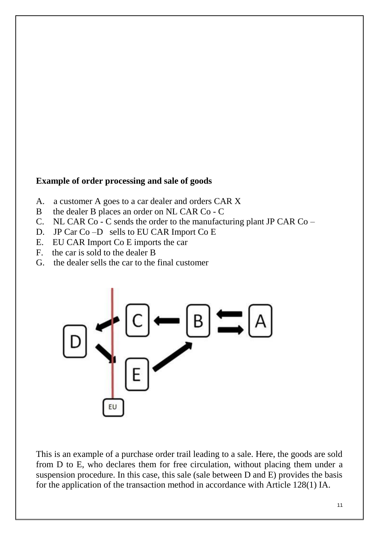### **Example of order processing and sale of goods**

- A. a customer A goes to a car dealer and orders CAR X
- B the dealer B places an order on NL CAR Co C
- C. NL CAR Co C sends the order to the manufacturing plant JP CAR Co –
- D. JP Car Co –D sells to EU CAR Import Co E
- E. EU CAR Import Co E imports the car
- F. the car is sold to the dealer B
- G. the dealer sells the car to the final customer



This is an example of a purchase order trail leading to a sale. Here, the goods are sold from D to E, who declares them for free circulation, without placing them under a suspension procedure. In this case, this sale (sale between D and E) provides the basis for the application of the transaction method in accordance with Article 128(1) IA.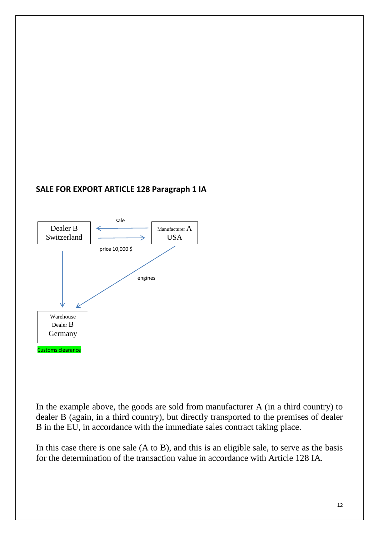#### **SALE FOR EXPORT ARTICLE 128 Paragraph 1 IA**



In the example above, the goods are sold from manufacturer A (in a third country) to dealer B (again, in a third country), but directly transported to the premises of dealer B in the EU, in accordance with the immediate sales contract taking place.

In this case there is one sale  $(A \text{ to } B)$ , and this is an eligible sale, to serve as the basis for the determination of the transaction value in accordance with Article 128 IA.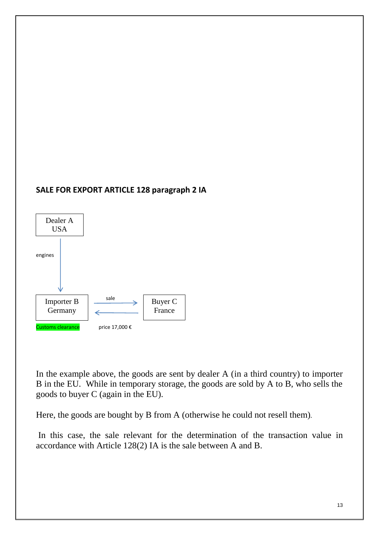#### **SALE FOR EXPORT ARTICLE 128 paragraph 2 IA**



In the example above, the goods are sent by dealer A (in a third country) to importer B in the EU. While in temporary storage, the goods are sold by A to B, who sells the goods to buyer C (again in the EU).

Here, the goods are bought by B from A (otherwise he could not resell them)*.* 

In this case, the sale relevant for the determination of the transaction value in accordance with Article 128(2) IA is the sale between A and B.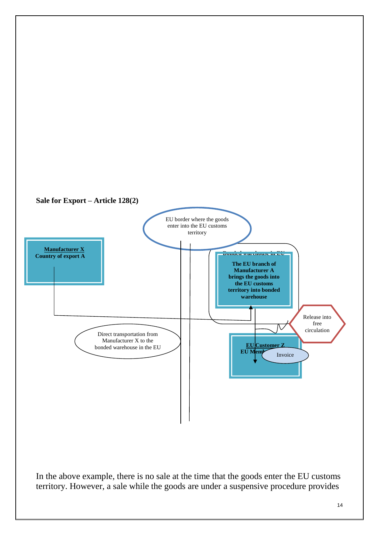

In the above example, there is no sale at the time that the goods enter the EU customs territory. However, a sale while the goods are under a suspensive procedure provides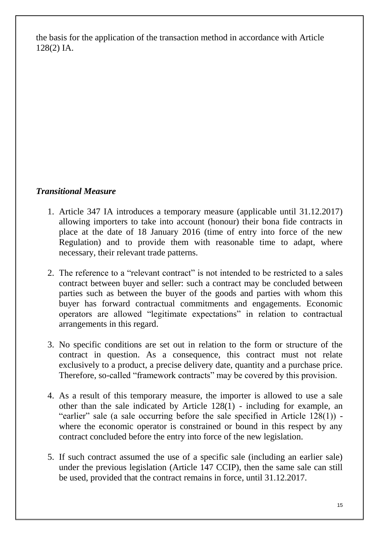the basis for the application of the transaction method in accordance with Article 128(2) IA.

# *Transitional Measure*

- 1. Article 347 IA introduces a temporary measure (applicable until 31.12.2017) allowing importers to take into account (honour) their bona fide contracts in place at the date of 18 January 2016 (time of entry into force of the new Regulation) and to provide them with reasonable time to adapt, where necessary, their relevant trade patterns.
- 2. The reference to a "relevant contract" is not intended to be restricted to a sales contract between buyer and seller: such a contract may be concluded between parties such as between the buyer of the goods and parties with whom this buyer has forward contractual commitments and engagements. Economic operators are allowed "legitimate expectations" in relation to contractual arrangements in this regard.
- 3. No specific conditions are set out in relation to the form or structure of the contract in question. As a consequence, this contract must not relate exclusively to a product, a precise delivery date, quantity and a purchase price. Therefore, so-called "framework contracts" may be covered by this provision.
- 4. As a result of this temporary measure, the importer is allowed to use a sale other than the sale indicated by Article 128(1) - including for example, an "earlier" sale (a sale occurring before the sale specified in Article 128(1)) where the economic operator is constrained or bound in this respect by any contract concluded before the entry into force of the new legislation.
- 5. If such contract assumed the use of a specific sale (including an earlier sale) under the previous legislation (Article 147 CCIP), then the same sale can still be used, provided that the contract remains in force, until 31.12.2017.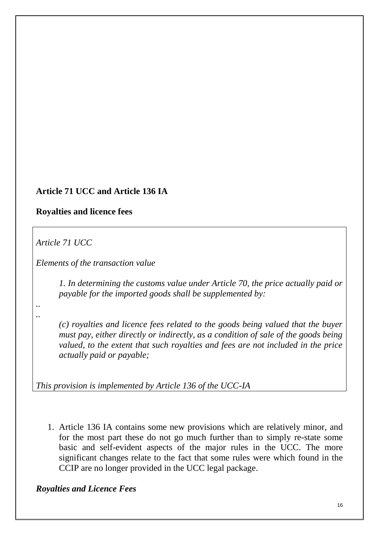# **Article 71 UCC and Article 136 IA**

#### **Royalties and licence fees**

*Article 71 UCC*

*Elements of the transaction value*

*1. In determining the customs value under Article 70, the price actually paid or payable for the imported goods shall be supplemented by:*

*.. ..*

> *(c) royalties and licence fees related to the goods being valued that the buyer must pay, either directly or indirectly, as a condition of sale of the goods being valued, to the extent that such royalties and fees are not included in the price actually paid or payable;*

*This provision is implemented by Article 136 of the UCC-IA*

1. Article 136 IA contains some new provisions which are relatively minor, and for the most part these do not go much further than to simply re-state some basic and self-evident aspects of the major rules in the UCC. The more significant changes relate to the fact that some rules were which found in the CCIP are no longer provided in the UCC legal package.

*Royalties and Licence Fees*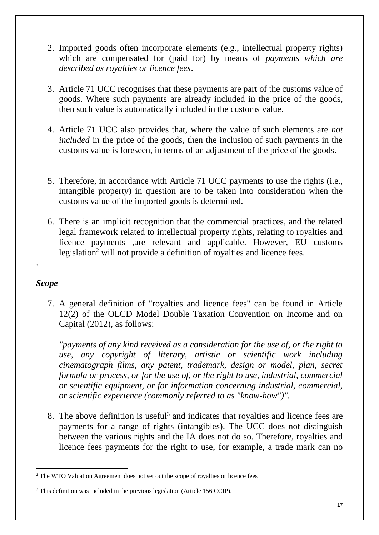- 2. Imported goods often incorporate elements (e.g., intellectual property rights) which are compensated for (paid for) by means of *payments which are described as royalties or licence fees*.
- 3. Article 71 UCC recognises that these payments are part of the customs value of goods. Where such payments are already included in the price of the goods, then such value is automatically included in the customs value.
- 4. Article 71 UCC also provides that, where the value of such elements are *not included* in the price of the goods, then the inclusion of such payments in the customs value is foreseen, in terms of an adjustment of the price of the goods.
- 5. Therefore, in accordance with Article 71 UCC payments to use the rights (i.e., intangible property) in question are to be taken into consideration when the customs value of the imported goods is determined.
- 6. There is an implicit recognition that the commercial practices, and the related legal framework related to intellectual property rights, relating to royalties and licence payments ,are relevant and applicable. However, EU customs legislation<sup>2</sup> will not provide a definition of royalties and licence fees.

### *Scope*

.

<u>.</u>

7. A general definition of "royalties and licence fees" can be found in Article 12(2) of the OECD Model Double Taxation Convention on Income and on Capital (2012), as follows:

*"payments of any kind received as a consideration for the use of, or the right to use, any copyright of literary, artistic or scientific work including cinematograph films, any patent, trademark, design or model, plan, secret formula or process, or for the use of, or the right to use, industrial, commercial or scientific equipment, or for information concerning industrial, commercial, or scientific experience (commonly referred to as "know-how")".*

8. The above definition is useful<sup>3</sup> and indicates that royalties and licence fees are payments for a range of rights (intangibles). The UCC does not distinguish between the various rights and the IA does not do so. Therefore, royalties and licence fees payments for the right to use, for example, a trade mark can no

<sup>2</sup> The WTO Valuation Agreement does not set out the scope of royalties or licence fees

<sup>&</sup>lt;sup>3</sup> This definition was included in the previous legislation (Article 156 CCIP).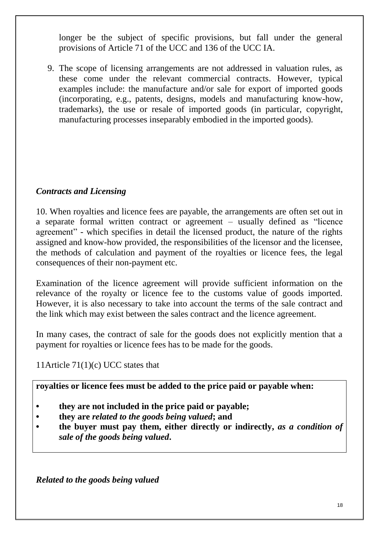longer be the subject of specific provisions, but fall under the general provisions of Article 71 of the UCC and 136 of the UCC IA.

9. The scope of licensing arrangements are not addressed in valuation rules, as these come under the relevant commercial contracts. However, typical examples include: the manufacture and/or sale for export of imported goods (incorporating, e.g., patents, designs, models and manufacturing know-how, trademarks), the use or resale of imported goods (in particular, copyright, manufacturing processes inseparably embodied in the imported goods).

# *Contracts and Licensing*

10. When royalties and licence fees are payable, the arrangements are often set out in a separate formal written contract or agreement – usually defined as "licence agreement" - which specifies in detail the licensed product, the nature of the rights assigned and know-how provided, the responsibilities of the licensor and the licensee, the methods of calculation and payment of the royalties or licence fees, the legal consequences of their non-payment etc.

Examination of the licence agreement will provide sufficient information on the relevance of the royalty or licence fee to the customs value of goods imported. However, it is also necessary to take into account the terms of the sale contract and the link which may exist between the sales contract and the licence agreement.

In many cases, the contract of sale for the goods does not explicitly mention that a payment for royalties or licence fees has to be made for the goods.

11Article 71(1)(c) UCC states that

**royalties or licence fees must be added to the price paid or payable when:**

- **• they are not included in the price paid or payable;**
- **• they are** *related to the goods being valued***; and**
- **• the buyer must pay them, either directly or indirectly,** *as a condition of sale of the goods being valued***.**

*Related to the goods being valued*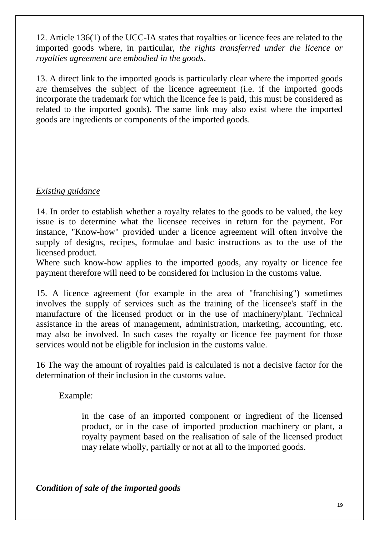12. Article 136(1) of the UCC-IA states that royalties or licence fees are related to the imported goods where, in particular, *the rights transferred under the licence or royalties agreement are embodied in the goods*.

13. A direct link to the imported goods is particularly clear where the imported goods are themselves the subject of the licence agreement (i.e. if the imported goods incorporate the trademark for which the licence fee is paid, this must be considered as related to the imported goods). The same link may also exist where the imported goods are ingredients or components of the imported goods.

# *Existing guidance*

14. In order to establish whether a royalty relates to the goods to be valued, the key issue is to determine what the licensee receives in return for the payment. For instance, "Know-how" provided under a licence agreement will often involve the supply of designs, recipes, formulae and basic instructions as to the use of the licensed product.

Where such know-how applies to the imported goods, any royalty or licence fee payment therefore will need to be considered for inclusion in the customs value.

15. A licence agreement (for example in the area of "franchising") sometimes involves the supply of services such as the training of the licensee's staff in the manufacture of the licensed product or in the use of machinery/plant. Technical assistance in the areas of management, administration, marketing, accounting, etc. may also be involved. In such cases the royalty or licence fee payment for those services would not be eligible for inclusion in the customs value.

16 The way the amount of royalties paid is calculated is not a decisive factor for the determination of their inclusion in the customs value.

Example:

in the case of an imported component or ingredient of the licensed product, or in the case of imported production machinery or plant, a royalty payment based on the realisation of sale of the licensed product may relate wholly, partially or not at all to the imported goods.

*Condition of sale of the imported goods*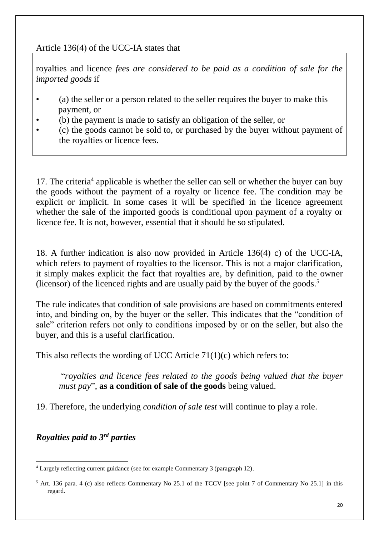## Article 136(4) of the UCC-IA states that

royalties and licence *fees are considered to be paid as a condition of sale for the imported goods* if

- (a) the seller or a person related to the seller requires the buyer to make this payment, or
- (b) the payment is made to satisfy an obligation of the seller, or
- (c) the goods cannot be sold to, or purchased by the buyer without payment of the royalties or licence fees.

17. The criteria<sup>4</sup> applicable is whether the seller can sell or whether the buyer can buy the goods without the payment of a royalty or licence fee. The condition may be explicit or implicit. In some cases it will be specified in the licence agreement whether the sale of the imported goods is conditional upon payment of a royalty or licence fee. It is not, however, essential that it should be so stipulated.

18. A further indication is also now provided in Article 136(4) c) of the UCC-IA, which refers to payment of royalties to the licensor. This is not a major clarification, it simply makes explicit the fact that royalties are, by definition, paid to the owner (licensor) of the licenced rights and are usually paid by the buyer of the goods.<sup>5</sup>

The rule indicates that condition of sale provisions are based on commitments entered into, and binding on, by the buyer or the seller. This indicates that the "condition of sale" criterion refers not only to conditions imposed by or on the seller, but also the buyer, and this is a useful clarification.

This also reflects the wording of UCC Article 71(1)(c) which refers to:

"*royalties and licence fees related to the goods being valued that the buyer must pay*", **as a condition of sale of the goods** being valued.

19. Therefore, the underlying *condition of sale test* will continue to play a role.

*Royalties paid to 3rd parties*

<sup>1</sup> <sup>4</sup> Largely reflecting current guidance (see for example Commentary 3 (paragraph 12).

<sup>5</sup> Art. 136 para. 4 (c) also reflects Commentary No 25.1 of the TCCV [see point 7 of Commentary No 25.1] in this regard.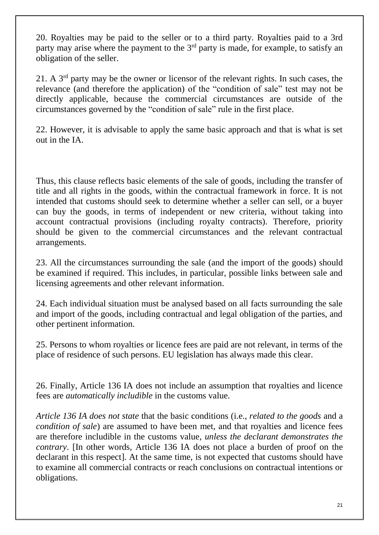20. Royalties may be paid to the seller or to a third party. Royalties paid to a 3rd party may arise where the payment to the  $3<sup>rd</sup>$  party is made, for example, to satisfy an obligation of the seller.

21. A 3rd party may be the owner or licensor of the relevant rights. In such cases, the relevance (and therefore the application) of the "condition of sale" test may not be directly applicable, because the commercial circumstances are outside of the circumstances governed by the "condition of sale" rule in the first place.

22. However, it is advisable to apply the same basic approach and that is what is set out in the IA.

Thus, this clause reflects basic elements of the sale of goods, including the transfer of title and all rights in the goods, within the contractual framework in force. It is not intended that customs should seek to determine whether a seller can sell, or a buyer can buy the goods, in terms of independent or new criteria, without taking into account contractual provisions (including royalty contracts). Therefore, priority should be given to the commercial circumstances and the relevant contractual arrangements.

23. All the circumstances surrounding the sale (and the import of the goods) should be examined if required. This includes, in particular, possible links between sale and licensing agreements and other relevant information.

24. Each individual situation must be analysed based on all facts surrounding the sale and import of the goods, including contractual and legal obligation of the parties, and other pertinent information.

25. Persons to whom royalties or licence fees are paid are not relevant, in terms of the place of residence of such persons. EU legislation has always made this clear.

26. Finally, Article 136 IA does not include an assumption that royalties and licence fees are *automatically includible* in the customs value.

*Article 136 IA does not state* that the basic conditions (i.e., *related to the goods* and a *condition of sale*) are assumed to have been met, and that royalties and licence fees are therefore includible in the customs value, *unless the declarant demonstrates the contrary*. [In other words, Article 136 IA does not place a burden of proof on the declarant in this respect]. At the same time, is not expected that customs should have to examine all commercial contracts or reach conclusions on contractual intentions or obligations.